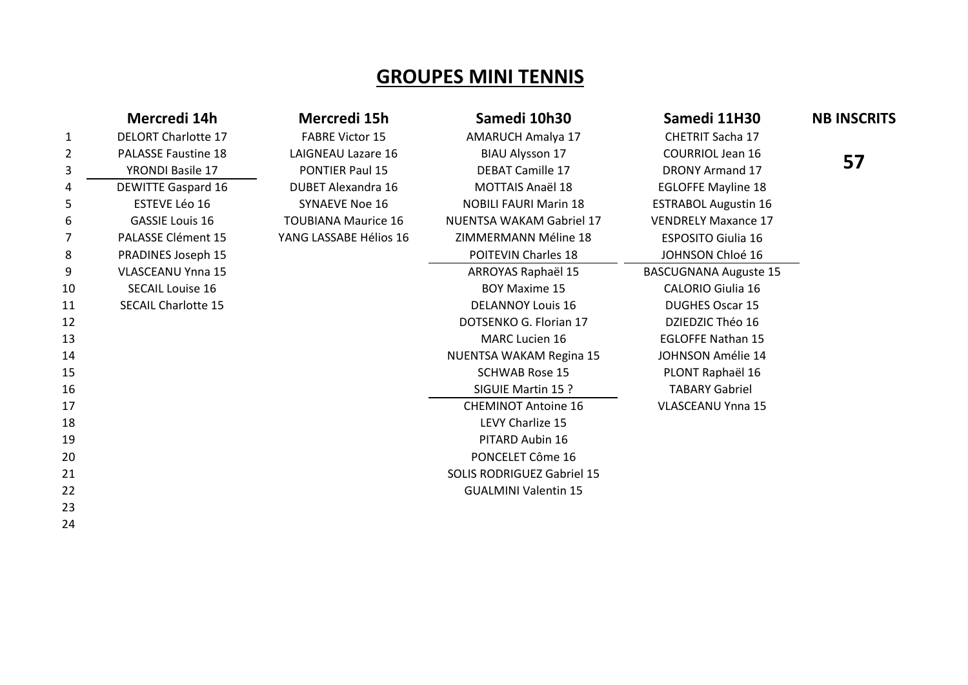## **GROUPES MINI TENNIS**

|    | Mercredi 14h               | Mercredi 15h               | Samedi 10h30                      | Samedi 11H30                 | <b>NB INSCRITS</b> |
|----|----------------------------|----------------------------|-----------------------------------|------------------------------|--------------------|
| 1  | <b>DELORT Charlotte 17</b> | <b>FABRE Victor 15</b>     | <b>AMARUCH Amalya 17</b>          | <b>CHETRIT Sacha 17</b>      |                    |
| 2  | PALASSE Faustine 18        | <b>LAIGNEAU Lazare 16</b>  | <b>BIAU Alysson 17</b>            | <b>COURRIOL Jean 16</b>      |                    |
| 3  | <b>YRONDI Basile 17</b>    | PONTIER Paul 15            | <b>DEBAT Camille 17</b>           | <b>DRONY Armand 17</b>       | 57                 |
| 4  | <b>DEWITTE Gaspard 16</b>  | <b>DUBET Alexandra 16</b>  | <b>MOTTAIS Anaël 18</b>           | <b>EGLOFFE Mayline 18</b>    |                    |
| 5  | ESTEVE Léo 16              | <b>SYNAEVE Noe 16</b>      | <b>NOBILI FAURI Marin 18</b>      | <b>ESTRABOL Augustin 16</b>  |                    |
| 6  | <b>GASSIE Louis 16</b>     | <b>TOUBIANA Maurice 16</b> | <b>NUENTSA WAKAM Gabriel 17</b>   | <b>VENDRELY Maxance 17</b>   |                    |
|    | PALASSE Clément 15         | YANG LASSABE Hélios 16     | ZIMMERMANN Méline 18              | <b>ESPOSITO Giulia 16</b>    |                    |
| 8  | <b>PRADINES Joseph 15</b>  |                            | <b>POITEVIN Charles 18</b>        | JOHNSON Chloé 16             |                    |
| 9  | <b>VLASCEANU Ynna 15</b>   |                            | ARROYAS Raphaël 15                | <b>BASCUGNANA Auguste 15</b> |                    |
| 10 | <b>SECAIL Louise 16</b>    |                            | <b>BOY Maxime 15</b>              | <b>CALORIO Giulia 16</b>     |                    |
| 11 | <b>SECAIL Charlotte 15</b> |                            | <b>DELANNOY Louis 16</b>          | <b>DUGHES Oscar 15</b>       |                    |
| 12 |                            |                            | DOTSENKO G. Florian 17            | DZIEDZIC Théo 16             |                    |
| 13 |                            |                            | <b>MARC Lucien 16</b>             | <b>EGLOFFE Nathan 15</b>     |                    |
| 14 |                            |                            | NUENTSA WAKAM Regina 15           | JOHNSON Amélie 14            |                    |
| 15 |                            |                            | <b>SCHWAB Rose 15</b>             | PLONT Raphaël 16             |                    |
| 16 |                            |                            | SIGUIE Martin 15 ?                | <b>TABARY Gabriel</b>        |                    |
| 17 |                            |                            | <b>CHEMINOT Antoine 16</b>        | <b>VLASCEANU Ynna 15</b>     |                    |
| 18 |                            |                            | LEVY Charlize 15                  |                              |                    |
| 19 |                            |                            | PITARD Aubin 16                   |                              |                    |
| 20 |                            |                            | PONCELET Côme 16                  |                              |                    |
| 21 |                            |                            | <b>SOLIS RODRIGUEZ Gabriel 15</b> |                              |                    |
| 22 |                            |                            | <b>GUALMINI Valentin 15</b>       |                              |                    |
| 23 |                            |                            |                                   |                              |                    |
| 24 |                            |                            |                                   |                              |                    |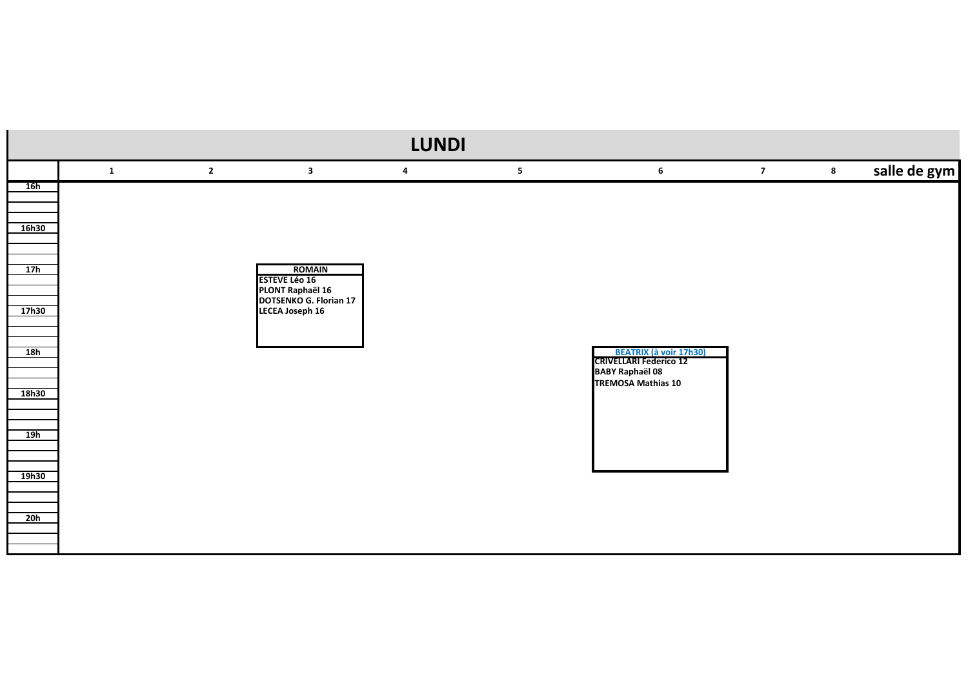|       |              |                |                                                                              | <b>LUNDI</b> |                |                                                                                                                |                |         |              |
|-------|--------------|----------------|------------------------------------------------------------------------------|--------------|----------------|----------------------------------------------------------------------------------------------------------------|----------------|---------|--------------|
|       | $\mathbf{1}$ | $\overline{2}$ | $\mathbf{3}$                                                                 | 4            | 5 <sub>1</sub> | $\bf 6$                                                                                                        | $\overline{7}$ | $\bf 8$ | salle de gym |
| 16h   |              |                |                                                                              |              |                |                                                                                                                |                |         |              |
| 16h30 |              |                |                                                                              |              |                |                                                                                                                |                |         |              |
| 17h   |              |                | <b>ROMAIN</b><br><b>ESTEVE Léo 16</b>                                        |              |                |                                                                                                                |                |         |              |
| 17h30 |              |                | <b>PLONT Raphaël 16<br/>DOTSENKO G. Florian 17</b><br><b>LECEA Joseph 16</b> |              |                |                                                                                                                |                |         |              |
| 18h   |              |                |                                                                              |              |                | <b>BEATRIX (à voir 17h30)</b><br>CRIVELLARI Federico 12<br><b>BABY Raphaël 08</b><br><b>TREMOSA Mathias 10</b> |                |         |              |
| 18h30 |              |                |                                                                              |              |                |                                                                                                                |                |         |              |
| 19h   |              |                |                                                                              |              |                |                                                                                                                |                |         |              |
| 19h30 |              |                |                                                                              |              |                |                                                                                                                |                |         |              |
| 20h   |              |                |                                                                              |              |                |                                                                                                                |                |         |              |
|       |              |                |                                                                              |              |                |                                                                                                                |                |         |              |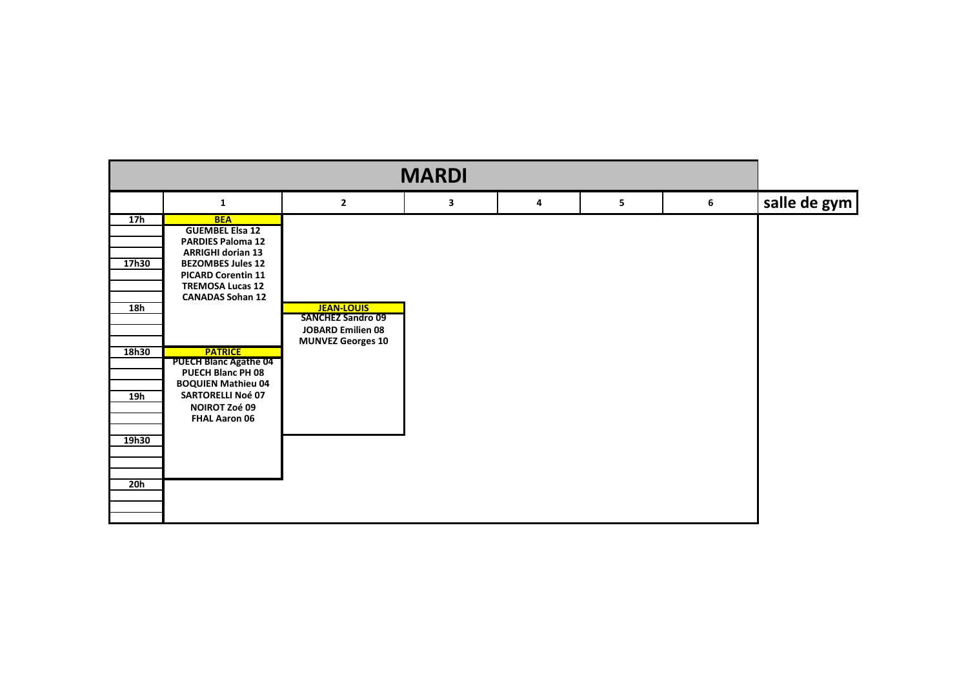| <b>MARDI</b>                                        |                                                                                                                                                                                                                                                                                                                                                                                             |                                                                                                       |   |   |   |   |              |  |  |
|-----------------------------------------------------|---------------------------------------------------------------------------------------------------------------------------------------------------------------------------------------------------------------------------------------------------------------------------------------------------------------------------------------------------------------------------------------------|-------------------------------------------------------------------------------------------------------|---|---|---|---|--------------|--|--|
|                                                     | $\mathbf{1}$                                                                                                                                                                                                                                                                                                                                                                                | $\overline{2}$                                                                                        | 3 | 4 | 5 | 6 | salle de gym |  |  |
| 17h<br>17h30<br>18h<br>18h30<br>19h<br>19h30<br>20h | <b>BEA</b><br><b>GUEMBEL Elsa 12</b><br><b>PARDIES Paloma 12</b><br><b>ARRIGHI dorian 13</b><br><b>BEZOMBES Jules 12</b><br><b>PICARD Corentin 11</b><br><b>TREMOSA Lucas 12</b><br><b>CANADAS Sohan 12</b><br><b>PATRICE</b><br><b>PUECH Blanc Agathe 04</b><br>PUECH Blanc PH 08<br><b>BOQUIEN Mathieu 04</b><br><b>SARTORELLI Noé 07</b><br><b>NOIROT Zoé 09</b><br><b>FHAL Aaron 06</b> | <b>JEAN-LOUIS</b><br><b>SANCHEZ Sandro 09</b><br><b>JOBARD Emilien 08</b><br><b>MUNVEZ Georges 10</b> |   |   |   |   |              |  |  |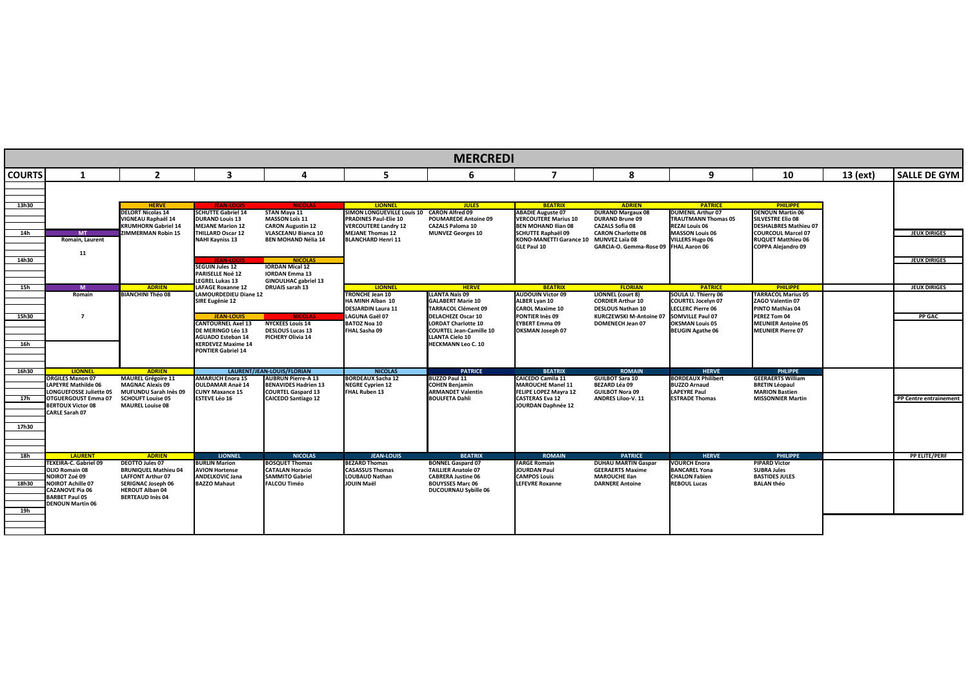|               | <b>MERCREDI</b>                                    |                                                     |                                                                             |                                                                                |                                                                         |                                                                                 |                                                                            |                                                                           |                                                                              |                                                                          |          |                        |
|---------------|----------------------------------------------------|-----------------------------------------------------|-----------------------------------------------------------------------------|--------------------------------------------------------------------------------|-------------------------------------------------------------------------|---------------------------------------------------------------------------------|----------------------------------------------------------------------------|---------------------------------------------------------------------------|------------------------------------------------------------------------------|--------------------------------------------------------------------------|----------|------------------------|
| <b>COURTS</b> | $\mathbf 1$                                        | $\mathbf{2}$                                        | $\overline{\mathbf{3}}$                                                     | 4                                                                              | 5                                                                       | 6                                                                               | $\boldsymbol{7}$                                                           | 8                                                                         | 9                                                                            | 10                                                                       | 13 (ext) | <b>SALLE DE GYM</b>    |
| 13h30         |                                                    | <b>HERVE</b>                                        | <b>IFAN-LOUIS</b>                                                           | <b>NICOLAS</b>                                                                 | <b>LIONNEL</b>                                                          | <b>JULES</b>                                                                    | <b>BEATRIX</b>                                                             | <b>ADRIEN</b>                                                             | <b>PATRICE</b>                                                               | <b>PHILIPPE</b>                                                          |          |                        |
|               |                                                    | <b>DELORT Nicolas 14</b><br>VIGNEAU Raphaël 14      | <b>SCHUTTE Gabriel 14</b><br><b>DURAND Louis 13</b>                         | <b>STAN Maya 11</b><br><b>MASSON Loïs 11</b>                                   | <b>SIMON LONGUEVILLE Louis 10</b><br><b>PRADINES Paul-Elie 10</b>       | <b>CARON Alfred 09</b><br><b>POUMAREDE Antoine 09</b>                           | <b>ABADIE Auguste 07</b><br><b>VERCOUTERE Marius 10</b>                    | <b>DURAND Margaux 08</b><br><b>DURAND Brune 09</b>                        | <b>DUMENIL Arthur 07</b><br><b>TRAUTMANN Thomas 05</b>                       | <b>DENOUN Martin 06</b><br><b>SILVESTRE Elio 08</b>                      |          |                        |
| 14h           | <b>MT</b>                                          | <b>KRUMHORN Gabriel 14</b><br>ZIMMERMAN Robin 15    | <b>MEJANE Marion 12</b><br><b>THILLARD Oscar 12</b>                         | <b>CARON Augustin 12</b><br><b>VLASCEANU Bianca 10</b>                         | <b>VERCOUTERE Landry 12</b><br><b>MEJANE Thomas 12</b>                  | <b>CAZALS Paloma 10</b><br><b>MUNVEZ Georges 10</b>                             | <b>BEN MOHAND Ilian 08</b><br><b>SCHUTTE Raphaël 09</b>                    | <b>CAZALS Sofia 08</b><br><b>CARON Charlotte 08</b>                       | <b>REZAI Louis 06</b><br><b>MASSON Louis 06</b>                              | <b>DESHALBRES Mathieu 07</b><br><b>COURCOUL Marcel 07</b>                |          | <b>JEUX DIRIGES</b>    |
|               | Romain, Laurent                                    |                                                     | <b>NAHI Kayniss 13</b>                                                      | <b>BEN MOHAND Nélia 14</b>                                                     | <b>BLANCHARD Henri 11</b>                                               |                                                                                 | KONO-MANETTI Garance 10 MUNVEZ Laïa 08<br>GLE Paul 10                      | GARCIA-O. Gemma-Rose 09 FHAL Aaron 06                                     | <b>VILLERS Hugo 06</b>                                                       | <b>RUQUET Matthieu 06</b><br><b>COPPA Alejandro 09</b>                   |          |                        |
| 14h30         | 11                                                 |                                                     | <b>JEAN-LOUIS</b>                                                           | <b>NICOLAS</b>                                                                 |                                                                         |                                                                                 |                                                                            |                                                                           |                                                                              |                                                                          |          | <b>JEUX DIRIGES</b>    |
|               |                                                    |                                                     | <b>SEGUIN Jules 12</b><br><b>PARISELLE Noé 12</b><br><b>LEGREL Lukas 13</b> | <b>IORDAN Mical 12</b><br><b>IORDAN Emma 13</b><br><b>GINOULHAC gabriel 13</b> |                                                                         |                                                                                 |                                                                            |                                                                           |                                                                              |                                                                          |          |                        |
| 15h           | M                                                  | <b>ADRIEN</b>                                       | <b>LAFAGE Roxanne 12</b>                                                    | <b>DRUAIS sarah 13</b>                                                         | <b>LIONNEL</b>                                                          | <b>HERVE</b>                                                                    | <b>BEATRIX</b>                                                             | <b>FLORIAN</b>                                                            | <b>PATRICE</b>                                                               | <b>PHILIPPE</b>                                                          |          | <b>JEUX DIRIGES</b>    |
|               | Romain                                             | <b>BIANCHINI Théo 08</b>                            | LAMOURDEDIEU Diane 12<br><b>SIRE Eugénie 12</b>                             |                                                                                | <b>TRONCHE Jean 10</b><br>HA MINH Alban 10<br><b>DESJARDIN Laura 11</b> | <b>LLANTA Naïs 09</b><br><b>GALABERT Marie 10</b><br><b>TARRACOL Clément 09</b> | <b>AUDOUIN Victor 09</b><br><b>ALBER Lyan 10</b><br><b>CAROL Maxime 10</b> | LIONNEL (court 8)<br><b>CORDIER Arthur 10</b><br><b>DESLOUS Nathan 10</b> | SOULA U. Thierry 06<br><b>COURTEL Jocelyn 07</b><br><b>LECLERC Pierre 06</b> | <b>TARRACOL Marius 05</b><br>ZAGO Valentin 07<br><b>PINTO Mathias 04</b> |          |                        |
| 15h30         | $\overline{7}$                                     |                                                     | JEAN-LOU                                                                    |                                                                                | LAGUNA Gaël 07                                                          | <b>DELACHEZE Oscar 10</b>                                                       | PONTIER Inès 09                                                            | KURCZEWSKI M-Antoine 07 SOMVILLE Paul 07                                  |                                                                              | PEREZ Tom 04                                                             |          | <b>PP GAC</b>          |
|               |                                                    |                                                     | <b>CANTOURNEL Axel 13</b><br>DE MERINGO Léo 13                              | <b>NYCKEES Louis 14</b><br><b>DESLOUS Lucas 13</b>                             | <b>BATOZ Noa 10</b><br>FHAL Sasha 09                                    | <b>LORDAT Charlotte 10</b><br><b>COURTEL Jean-Camille 10</b>                    | <b>EYBERT Emma 09</b><br>OKSMAN Joseph 07                                  | <b>DOMENECH Jean 07</b>                                                   | <b>OKSMAN Louis 05</b><br><b>BEUGIN Agathe 06</b>                            | <b>MEUNIER Antoine 05</b><br><b>MEUNIER Pierre 07</b>                    |          |                        |
|               |                                                    |                                                     | <b>AGUADO Esteban 14</b>                                                    | <b>PICHERY Olivia 14</b>                                                       |                                                                         | <b>LLANTA Cielo 10</b>                                                          |                                                                            |                                                                           |                                                                              |                                                                          |          |                        |
| 16h           |                                                    |                                                     | <b>KERDEVEZ Maxime 14</b><br><b>PONTIER Gabriel 14</b>                      |                                                                                |                                                                         | <b>HECKMANN Leo C. 10</b>                                                       |                                                                            |                                                                           |                                                                              |                                                                          |          |                        |
| 16h30         | <b>LIONNEL</b>                                     | <b>ADRIEN</b>                                       |                                                                             | LAURENT/JEAN-LOUIS/FLORIAN                                                     | <b>NICOLAS</b>                                                          | <b>PATRICE</b>                                                                  | <b>BEATRIX</b>                                                             | <b>ROMAIN</b>                                                             | <b>HERVE</b>                                                                 | <b>PHLIPPE</b>                                                           |          |                        |
|               | <b>ORGILES Manon 07</b>                            | <b>MAUREL Grégoire 11</b>                           | <b>AMARUCH Enora 15</b>                                                     | <b>AUBRUN Pierre-A 13</b>                                                      | <b>BORDEAUX Sacha 12</b>                                                | <b>BUZZO Paul 11</b>                                                            | <b>CAICEDO Camila 11</b>                                                   | <b>GUILBOT Sara 10</b>                                                    | <b>BORDEAUX Philibert</b>                                                    | <b>GEERAERTS William</b>                                                 |          |                        |
|               | LAPEYRE Mathilde 06<br>LONGUEFOSSE Juliette 05     | <b>MAGNAC Alexis 09</b><br>MUFUNDU Sarah Inès 09    | <b>OULDAMAR Anaë 14</b><br><b>CUNY Maxance 15</b>                           | <b>BENAVIDES Hadrien 13</b><br><b>COURTEL Gaspard 13</b>                       | <b>NEGRE Cyprien 12</b><br><b>FHAL Ruben 13</b>                         | <b>COHEN Benjamin</b><br><b>ARMANDET Valentin</b>                               | <b>MAROUCHE Manel 11</b><br>FELIPE LOPEZ Mayra 12                          | <b>BEZARD Léa 09</b><br><b>GUILBOT Nora 09</b>                            | <b>BUZZO Arnaud</b><br><b>LAPEYRE Paul</b>                                   | <b>BRETIN Léopaul</b><br><b>MARION Bastien</b>                           |          |                        |
| 17h           | OTGUERGOUST Emma 07<br><b>BERTOUX Victor 08</b>    | <b>SCHOUFT Louise 05</b><br><b>MAUREL Louise 08</b> | <b>ESTEVE Léo 16</b>                                                        | <b>CAICEDO Santiago 12</b>                                                     |                                                                         | <b>BOULFETA Dahli</b>                                                           | <b>CASTERAS Eva 12</b><br>JOURDAN Daphnée 12                               | <b>ANDRES Liloo-V. 11</b>                                                 | <b>ESTRADE Thomas</b>                                                        | <b>MISSONNIER Martin</b>                                                 |          | PP Centre entrainement |
|               | <b>CARLE Sarah 07</b>                              |                                                     |                                                                             |                                                                                |                                                                         |                                                                                 |                                                                            |                                                                           |                                                                              |                                                                          |          |                        |
| 17h30         |                                                    |                                                     |                                                                             |                                                                                |                                                                         |                                                                                 |                                                                            |                                                                           |                                                                              |                                                                          |          |                        |
|               |                                                    |                                                     |                                                                             |                                                                                |                                                                         |                                                                                 |                                                                            |                                                                           |                                                                              |                                                                          |          |                        |
| 18h           | <b>LAURENT</b>                                     | <b>ADRIEN</b>                                       | <b>LIONNEL</b>                                                              | <b>NICOLAS</b>                                                                 | <b>JEAN-LOUIS</b>                                                       | <b>BEATRIX</b>                                                                  | <b>ROMAIN</b>                                                              | <b>PATRICE</b>                                                            | <b>HERVE</b>                                                                 | PHILIPPI                                                                 |          | <b>PP ELITE/PERF</b>   |
|               | TEXEIRA-C. Gabriel 09<br>OLIO Romain 08            | DEOTTO Jules 07<br><b>BRUNIQUEL Mathieu 04</b>      | <b>BURLIN Marion</b><br><b>AVION Hortense</b>                               | <b>BOSQUET Thomas</b><br><b>CATALAN Horacio</b>                                | <b>BEZARD Thomas</b><br><b>CASASSUS Thomas</b>                          | <b>BONNEL Gaspard 07</b><br><b>TAILLIER Anatole 07</b>                          | <b>FARGE Romain</b><br><b>JOURDAN Paul</b>                                 | <b>DUHAU MARTIN Gaspar</b><br><b>GEERAERTS Maxime</b>                     | <b>VOURCH Enora</b><br><b>BANCAREL Yona</b>                                  | <b>PIPARD Victor</b><br><b>SUBRA Jules</b>                               |          |                        |
|               | <b>NOIROT Zoé 09</b>                               | <b>LAFFONT Arthur 07</b>                            | <b>ANDELKOVIC Jana</b>                                                      | <b>SAMMITO Gabriel</b>                                                         | <b>LOUBAUD Nathan</b>                                                   | <b>CABRERA Justine 06</b>                                                       | <b>CAMPOS Louis</b>                                                        | <b>MAROUCHE Ilan</b>                                                      | <b>CHALON Fabien</b>                                                         | <b>BASTIDES JULES</b>                                                    |          |                        |
| 18h30         | <b>NOIROT Achille 07</b><br><b>CAZANOVE Pia 06</b> | <b>SERIGNAC Joseph 06</b><br><b>HEROUT Alban 04</b> | <b>BAZZO Mahaut</b>                                                         | <b>FALCOU Timéo</b>                                                            | <b>JOUIN Maël</b>                                                       | <b>BOUYSSES Marc 06</b><br><b>DUCOURNAU Sybille 06</b>                          | <b>LEFEVRE Roxanne</b>                                                     | <b>DARNERE Antoine</b>                                                    | <b>REBOUL Lucas</b>                                                          | <b>BALAN théo</b>                                                        |          |                        |
|               | <b>BARBET Paul 05</b>                              | <b>BERTEAUD Inès 04</b>                             |                                                                             |                                                                                |                                                                         |                                                                                 |                                                                            |                                                                           |                                                                              |                                                                          |          |                        |
| 19h           | <b>DENOUN Martin 06</b>                            |                                                     |                                                                             |                                                                                |                                                                         |                                                                                 |                                                                            |                                                                           |                                                                              |                                                                          |          |                        |
|               |                                                    |                                                     |                                                                             |                                                                                |                                                                         |                                                                                 |                                                                            |                                                                           |                                                                              |                                                                          |          |                        |
|               |                                                    |                                                     |                                                                             |                                                                                |                                                                         |                                                                                 |                                                                            |                                                                           |                                                                              |                                                                          |          |                        |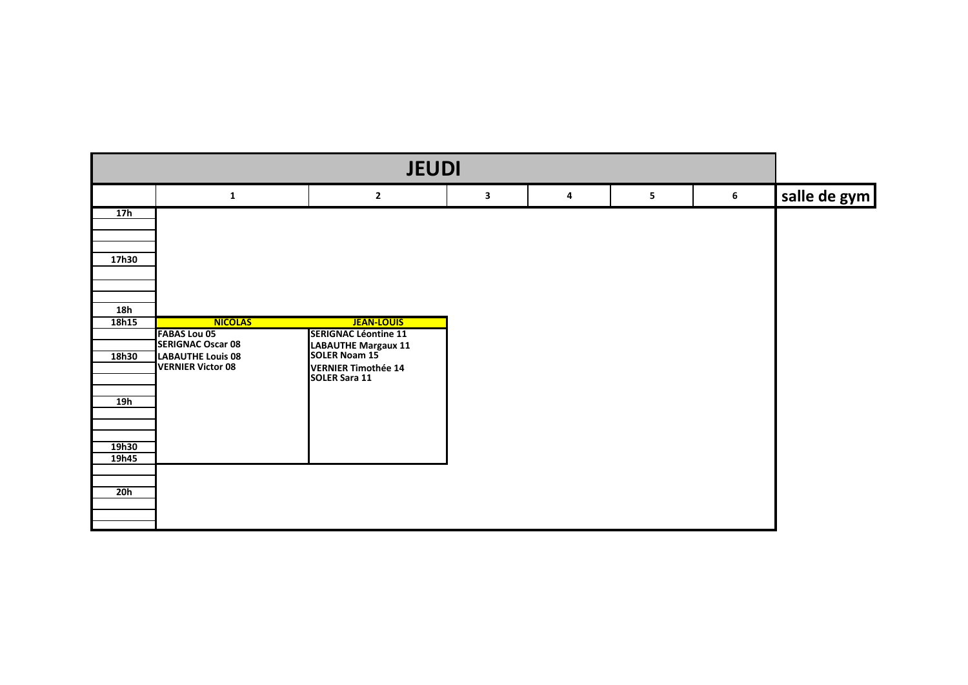| <b>JEUDI</b> |                                                 |                                             |   |   |   |   |              |  |  |  |
|--------------|-------------------------------------------------|---------------------------------------------|---|---|---|---|--------------|--|--|--|
|              | 1                                               | $\mathbf{2}$                                | 3 | 4 | 5 | 6 | salle de gym |  |  |  |
| 17h          |                                                 |                                             |   |   |   |   |              |  |  |  |
|              |                                                 |                                             |   |   |   |   |              |  |  |  |
| 17h30        |                                                 |                                             |   |   |   |   |              |  |  |  |
|              |                                                 |                                             |   |   |   |   |              |  |  |  |
|              |                                                 |                                             |   |   |   |   |              |  |  |  |
| <b>18h</b>   |                                                 |                                             |   |   |   |   |              |  |  |  |
| 18h15        | <b>NICOLAS</b>                                  | <b>JEAN-LOUIS</b>                           |   |   |   |   |              |  |  |  |
|              | <b>FABAS Lou 05</b><br><b>SERIGNAC Oscar 08</b> | <b>SERIGNAC Léontine 11</b>                 |   |   |   |   |              |  |  |  |
| 18h30        | <b>LABAUTHE Louis 08</b>                        | <b>LABAUTHE Margaux 11</b><br>SOLER Noam 15 |   |   |   |   |              |  |  |  |
|              | <b>VERNIER Victor 08</b>                        | <b>VERNIER Timothée 14</b>                  |   |   |   |   |              |  |  |  |
|              |                                                 | <b>SOLER Sara 11</b>                        |   |   |   |   |              |  |  |  |
|              |                                                 |                                             |   |   |   |   |              |  |  |  |
| 19h          |                                                 |                                             |   |   |   |   |              |  |  |  |
|              |                                                 |                                             |   |   |   |   |              |  |  |  |
|              |                                                 |                                             |   |   |   |   |              |  |  |  |
| 19h30        |                                                 |                                             |   |   |   |   |              |  |  |  |
| 19h45        |                                                 |                                             |   |   |   |   |              |  |  |  |
|              |                                                 |                                             |   |   |   |   |              |  |  |  |
|              |                                                 |                                             |   |   |   |   |              |  |  |  |
| <b>20h</b>   |                                                 |                                             |   |   |   |   |              |  |  |  |
|              |                                                 |                                             |   |   |   |   |              |  |  |  |
|              |                                                 |                                             |   |   |   |   |              |  |  |  |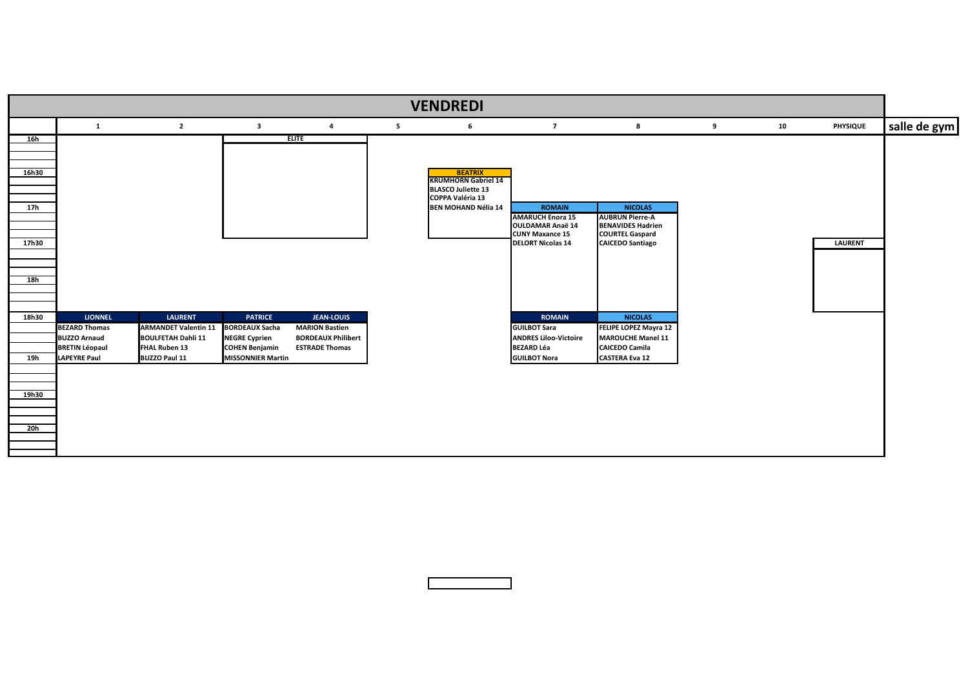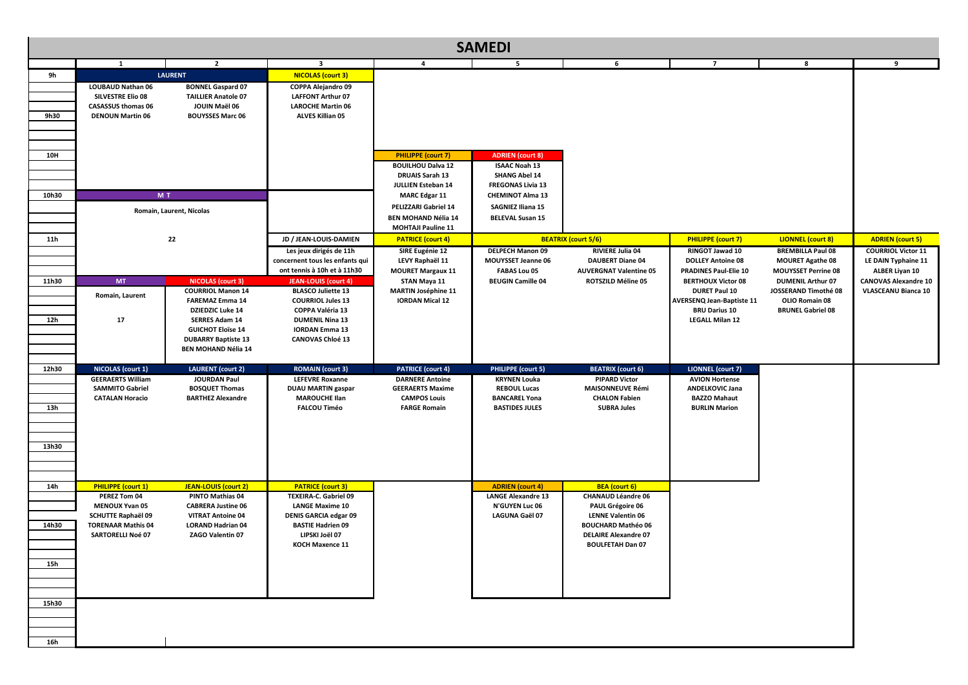| <b>SAMEDI</b>                |                                                                                                                                                   |                                                                                                                                                                                                                            |                                                                                                                                                                                               |                                                                                                                                                                                                                                |                                                                                                                                                                                       |                                                                                                                                                                                                 |                                                                                                                                                                         |                                                                                                                              |                                                                                    |
|------------------------------|---------------------------------------------------------------------------------------------------------------------------------------------------|----------------------------------------------------------------------------------------------------------------------------------------------------------------------------------------------------------------------------|-----------------------------------------------------------------------------------------------------------------------------------------------------------------------------------------------|--------------------------------------------------------------------------------------------------------------------------------------------------------------------------------------------------------------------------------|---------------------------------------------------------------------------------------------------------------------------------------------------------------------------------------|-------------------------------------------------------------------------------------------------------------------------------------------------------------------------------------------------|-------------------------------------------------------------------------------------------------------------------------------------------------------------------------|------------------------------------------------------------------------------------------------------------------------------|------------------------------------------------------------------------------------|
|                              | $\mathbf{1}$                                                                                                                                      | $\overline{2}$                                                                                                                                                                                                             | $\overline{\mathbf{3}}$                                                                                                                                                                       | 4                                                                                                                                                                                                                              | 5 <sup>5</sup>                                                                                                                                                                        | 6                                                                                                                                                                                               | $\overline{7}$                                                                                                                                                          | 8                                                                                                                            | 9                                                                                  |
| 9h<br>9h30                   | <b>LOUBAUD Nathan 06</b><br><b>SILVESTRE Elio 08</b><br><b>CASASSUS thomas 06</b><br><b>DENOUN Martin 06</b>                                      | <b>LAURENT</b><br><b>BONNEL Gaspard 07</b><br><b>TAILLIER Anatole 07</b><br>JOUIN Maël 06<br><b>BOUYSSES Marc 06</b>                                                                                                       | NICOLAS (court 3)<br>COPPA Alejandro 09<br><b>LAFFONT Arthur 07</b><br><b>LAROCHE Martin 06</b><br><b>ALVES Killian 05</b>                                                                    |                                                                                                                                                                                                                                |                                                                                                                                                                                       |                                                                                                                                                                                                 |                                                                                                                                                                         |                                                                                                                              |                                                                                    |
| 10H<br>10h30                 | M T                                                                                                                                               | Romain, Laurent, Nicolas                                                                                                                                                                                                   |                                                                                                                                                                                               | <b>PHILIPPE (court 7)</b><br><b>BOUILHOU Dalva 12</b><br><b>DRUAIS Sarah 13</b><br><b>JULLIEN Esteban 14</b><br><b>MARC Edgar 11</b><br><b>PELIZZARI Gabriel 14</b><br><b>BEN MOHAND Nélia 14</b><br><b>MOHTAJI Pauline 11</b> | <b>ADRIEN</b> (court 8)<br><b>ISAAC Noah 13</b><br><b>SHANG Abel 14</b><br><b>FREGONAS Livia 13</b><br><b>CHEMINOT Alma 13</b><br><b>SAGNIEZ Iliana 15</b><br><b>BELEVAL Susan 15</b> |                                                                                                                                                                                                 |                                                                                                                                                                         |                                                                                                                              |                                                                                    |
| <b>11h</b>                   |                                                                                                                                                   | 22                                                                                                                                                                                                                         | JD / JEAN-LOUIS-DAMIEN<br>Les jeux dirigés de 11h<br>concernent tous les enfants qui<br>ont tennis à 10h et à 11h30                                                                           | <b>PATRICE (court 4)</b><br>SIRE Eugénie 12<br>LEVY Raphaël 11                                                                                                                                                                 | <b>DELPECH Manon 09</b><br><b>MOUYSSET Jeanne 06</b>                                                                                                                                  | <b>BEATRIX (court 5/6)</b><br><b>RIVIERE Julia 04</b><br><b>DAUBERT Diane 04</b>                                                                                                                | <b>PHILIPPE</b> (court 7)<br>RINGOT Jawad 10<br><b>DOLLEY Antoine 08</b>                                                                                                | LIONNEL (court 8)<br><b>BREMBILLA Paul 08</b><br><b>MOURET Agathe 08</b>                                                     | <b>ADRIEN</b> (court 5)<br><b>COURRIOL Victor 11</b><br>LE DAIN Typhaine 11        |
| 11h30<br>12h                 | <b>MT</b><br>Romain, Laurent<br>17                                                                                                                | <b>NICOLAS (court 3)</b><br><b>COURRIOL Manon 14</b><br><b>FAREMAZ Emma 14</b><br><b>DZIEDZIC Luke 14</b><br><b>SERRES Adam 14</b><br><b>GUICHOT Eloïse 14</b><br><b>DUBARRY Baptiste 13</b><br><b>BEN MOHAND Nélia 14</b> | <b>JEAN-LOUIS (court 4)</b><br><b>BLASCO Juliette 13</b><br><b>COURRIOL Jules 13</b><br><b>COPPA Valéria 13</b><br><b>DUMENIL Nina 13</b><br><b>IORDAN Emma 13</b><br><b>CANOVAS Chloé 13</b> | <b>MOURET Margaux 11</b><br>STAN Maya 11<br><b>MARTIN Joséphine 11</b><br><b>IORDAN Mical 12</b>                                                                                                                               | <b>FABAS Lou 05</b><br><b>BEUGIN Camille 04</b>                                                                                                                                       | <b>AUVERGNAT Valentine 05</b><br><b>ROTSZILD Méline 05</b>                                                                                                                                      | <b>PRADINES Paul-Elie 10</b><br><b>BERTHOUX Victor 08</b><br><b>DURET Paul 10</b><br><b>AVERSENQ Jean-Baptiste 11</b><br><b>BRU Darius 10</b><br><b>LEGALL Milan 12</b> | <b>MOUYSSET Perrine 08</b><br><b>DUMENIL Arthur 07</b><br>JOSSERAND Timothé 08<br>OLIO Romain 08<br><b>BRUNEL Gabriel 08</b> | <b>ALBER Liyan 10</b><br><b>CANOVAS Alexandre 10</b><br><b>VLASCEANU Bianca 10</b> |
| 12h30<br>13h<br>13h30        | <b>NICOLAS (court 1)</b><br><b>GEERAERTS William</b><br><b>SAMMITO Gabriel</b><br><b>CATALAN Horacio</b>                                          | <b>LAURENT</b> (court 2)<br><b>JOURDAN Paul</b><br><b>BOSQUET Thomas</b><br><b>BARTHEZ Alexandre</b>                                                                                                                       | <b>ROMAIN (court 3)</b><br><b>LEFEVRE Roxanne</b><br><b>DUAU MARTIN gaspar</b><br><b>MAROUCHE Ilan</b><br><b>FALCOU Timéo</b>                                                                 | <b>PATRICE (court 4)</b><br><b>DARNERE Antoine</b><br><b>GEERAERTS Maxime</b><br><b>CAMPOS Louis</b><br><b>FARGE Romain</b>                                                                                                    | <b>PHILIPPE (court 5)</b><br><b>KRYNEN Louka</b><br><b>REBOUL Lucas</b><br><b>BANCAREL Yona</b><br><b>BASTIDES JULES</b>                                                              | <b>BEATRIX</b> (court 6)<br><b>PIPARD Victor</b><br><b>MAISONNEUVE Rémi</b><br><b>CHALON Fabien</b><br><b>SUBRA Jules</b>                                                                       | <b>LIONNEL</b> (court 7)<br><b>AVION Hortense</b><br><b>ANDELKOVIC Jana</b><br><b>BAZZO Mahaut</b><br><b>BURLIN Marion</b>                                              |                                                                                                                              |                                                                                    |
| 14h<br>14h30<br>15h<br>15h30 | PHILIPPE (court 1)<br>PEREZ Tom 04<br><b>MENOUX Yvan 05</b><br><b>SCHUTTE Raphaël 09</b><br><b>TORENAAR Mathis 04</b><br><b>SARTORELLI Noé 07</b> | JEAN-LOUIS (court 2)<br><b>PINTO Mathias 04</b><br><b>CABRERA Justine 06</b><br><b>VITRAT Antoine 04</b><br><b>LORAND Hadrian 04</b><br>ZAGO Valentin 07                                                                   | <b>PATRICE</b> (court 3)<br><b>TEXEIRA-C. Gabriel 09</b><br><b>LANGE Maxime 10</b><br><b>DENIS GARCIA edgar 09</b><br><b>BASTIE Hadrien 09</b><br>LIPSKI Joël 07<br><b>KOCH Maxence 11</b>    |                                                                                                                                                                                                                                | <b>ADRIEN</b> (court 4)<br><b>LANGE Alexandre 13</b><br><b>N'GUYEN Luc 06</b><br>LAGUNA Gaël 07                                                                                       | <b>BEA</b> (court 6)<br><b>CHANAUD Léandre 06</b><br><b>PAUL Grégoire 06</b><br><b>LENNE Valentin 06</b><br><b>BOUCHARD Mathéo 06</b><br><b>DELAIRE Alexandre 07</b><br><b>BOULFETAH Dan 07</b> |                                                                                                                                                                         |                                                                                                                              |                                                                                    |
| 16h                          |                                                                                                                                                   |                                                                                                                                                                                                                            |                                                                                                                                                                                               |                                                                                                                                                                                                                                |                                                                                                                                                                                       |                                                                                                                                                                                                 |                                                                                                                                                                         |                                                                                                                              |                                                                                    |

|                                                                      | 8                                                                                                                                                                                                               | 9                                                                                                                                                                 |
|----------------------------------------------------------------------|-----------------------------------------------------------------------------------------------------------------------------------------------------------------------------------------------------------------|-------------------------------------------------------------------------------------------------------------------------------------------------------------------|
|                                                                      |                                                                                                                                                                                                                 |                                                                                                                                                                   |
|                                                                      |                                                                                                                                                                                                                 |                                                                                                                                                                   |
| t 7)<br>10<br>e 08<br>lie 10<br>or 08<br>LO.<br>ptiste 11<br>0<br>12 | <b>LIONNEL (court 8)</b><br><b>BREMBILLA Paul 08</b><br><b>MOURET Agathe 08</b><br><b>MOUYSSET Perrine 08</b><br><b>DUMENIL Arthur 07</b><br>JOSSERAND Timothé 08<br>OLIO Romain 08<br><b>BRUNEL Gabriel 08</b> | <b>ADRIEN (court 5)</b><br><b>COURRIOL Victor 11</b><br>LE DAIN Typhaine 11<br><b>ALBER Liyan 10</b><br><b>CANOVAS Alexandre 10</b><br><b>VLASCEANU Bianca 10</b> |
| t 7)<br>ıse<br>ana<br>ut<br>Эn                                       |                                                                                                                                                                                                                 |                                                                                                                                                                   |